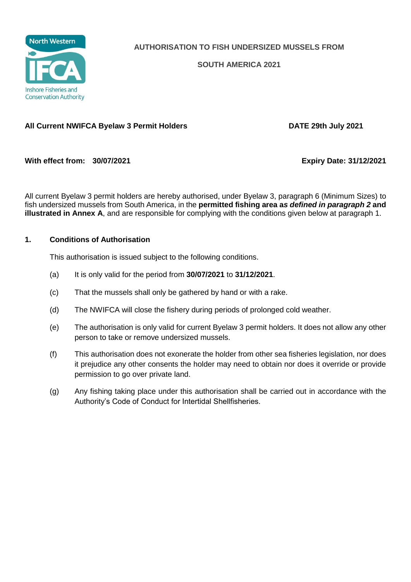

**AUTHORISATION TO FISH UNDERSIZED MUSSELS FROM**

**SOUTH AMERICA 2021**

## **All Current NWIFCA Byelaw 3 Permit Holders DATE 29th July 2021**

**With effect from: 30/07/2021 Expiry Date: 31/12/2021**

All current Byelaw 3 permit holders are hereby authorised, under Byelaw 3, paragraph 6 (Minimum Sizes) to fish undersized mussels from South America, in the **permitted fishing area a***s defined in paragraph 2* **and illustrated in Annex A**, and are responsible for complying with the conditions given below at paragraph 1.

## **1. Conditions of Authorisation**

This authorisation is issued subject to the following conditions.

- (a) It is only valid for the period from **30/07/2021** to **31/12/2021**.
- (c) That the mussels shall only be gathered by hand or with a rake.
- (d) The NWIFCA will close the fishery during periods of prolonged cold weather.
- (e) The authorisation is only valid for current Byelaw 3 permit holders. It does not allow any other person to take or remove undersized mussels.
- (f) This authorisation does not exonerate the holder from other sea fisheries legislation, nor does it prejudice any other consents the holder may need to obtain nor does it override or provide permission to go over private land.
- (g) Any fishing taking place under this authorisation shall be carried out in accordance with the Authority's Code of Conduct for Intertidal Shellfisheries.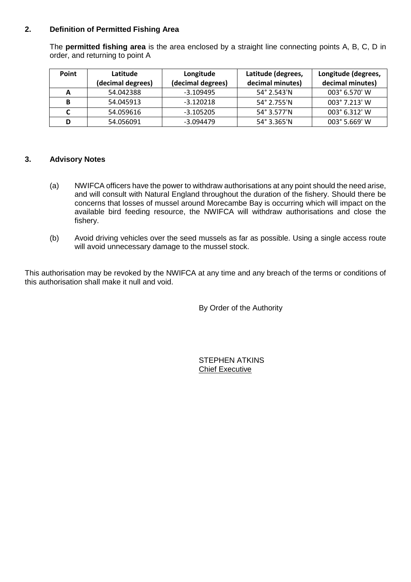## **2. Definition of Permitted Fishing Area**

The **permitted fishing area** is the area enclosed by a straight line connecting points A, B, C, D in order, and returning to point A

| <b>Point</b> | Latitude<br>(decimal degrees) | Longitude<br>(decimal degrees) | Latitude (degrees,<br>decimal minutes) | Longitude (degrees,<br>decimal minutes) |
|--------------|-------------------------------|--------------------------------|----------------------------------------|-----------------------------------------|
|              | 54.042388                     | -3.109495                      | 54° 2.543'N                            | 003° 6.570' W                           |
| В            | 54.045913                     | $-3.120218$                    | 54° 2.755'N                            | 003° 7.213' W                           |
|              | 54.059616                     | $-3.105205$                    | 54° 3.577'N                            | 003° 6.312' W                           |
|              | 54.056091                     | $-3.094479$                    | 54° 3.365'N                            | 003° 5.669' W                           |

## **3. Advisory Notes**

- (a) NWIFCA officers have the power to withdraw authorisations at any point should the need arise, and will consult with Natural England throughout the duration of the fishery. Should there be concerns that losses of mussel around Morecambe Bay is occurring which will impact on the available bird feeding resource, the NWIFCA will withdraw authorisations and close the fishery.
- (b) Avoid driving vehicles over the seed mussels as far as possible. Using a single access route will avoid unnecessary damage to the mussel stock.

This authorisation may be revoked by the NWIFCA at any time and any breach of the terms or conditions of this authorisation shall make it null and void.

By Order of the Authority

STEPHEN ATKINS Chief Executive